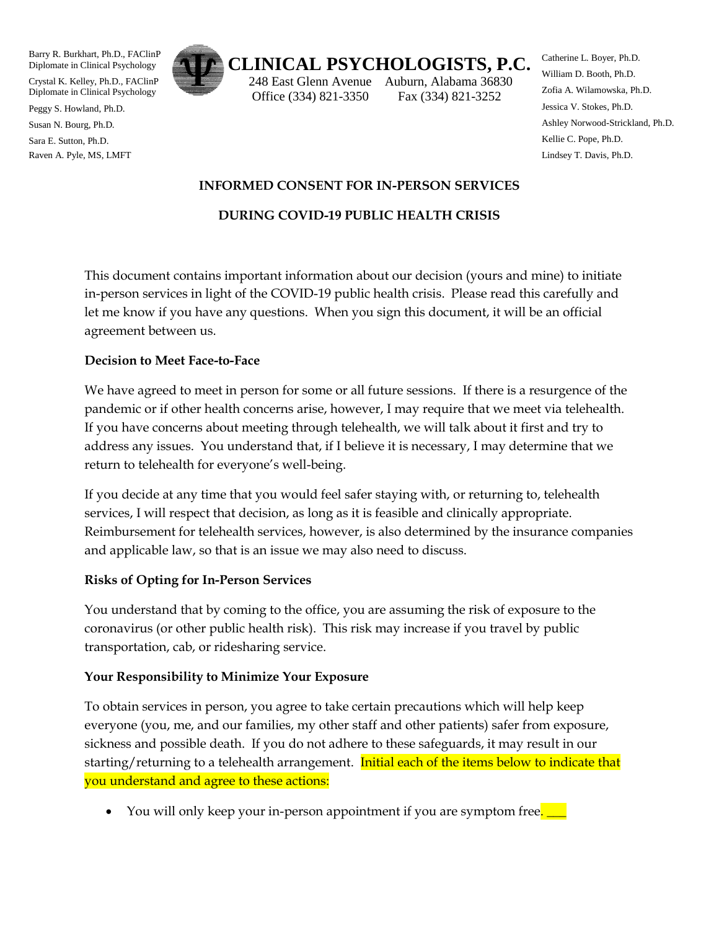Barry R. Burkhart, Ph.D., FAClinP Diplomate in Clinical Psychology

Crystal K. Kelley, Ph.D., FAClinP Diplomate in Clinical Psychology

Peggy S. Howland, Ph.D.

Susan N. Bourg, Ph.D.

Sara E. Sutton, Ph.D. Raven A. Pyle, MS, LMFT



# **CLINICAL PSYCHOLOGISTS, P.C.**

 248 East Glenn Avenue Auburn, Alabama 36830 Office (334) 821-3350 Fax (334) 821-3252

Catherine L. Boyer, Ph.D. William D. Booth, Ph.D. Zofia A. Wilamowska, Ph.D. Jessica V. Stokes, Ph.D. Ashley Norwood-Strickland, Ph.D. Kellie C. Pope, Ph.D. Lindsey T. Davis, Ph.D.

#### **INFORMED CONSENT FOR IN-PERSON SERVICES**

## **DURING COVID-19 PUBLIC HEALTH CRISIS**

This document contains important information about our decision (yours and mine) to initiate in-person services in light of the COVID-19 public health crisis. Please read this carefully and let me know if you have any questions. When you sign this document, it will be an official agreement between us.

#### **Decision to Meet Face-to-Face**

We have agreed to meet in person for some or all future sessions. If there is a resurgence of the pandemic or if other health concerns arise, however, I may require that we meet via telehealth. If you have concerns about meeting through telehealth, we will talk about it first and try to address any issues. You understand that, if I believe it is necessary, I may determine that we return to telehealth for everyone's well-being.

If you decide at any time that you would feel safer staying with, or returning to, telehealth services, I will respect that decision, as long as it is feasible and clinically appropriate. Reimbursement for telehealth services, however, is also determined by the insurance companies and applicable law, so that is an issue we may also need to discuss.

## **Risks of Opting for In-Person Services**

You understand that by coming to the office, you are assuming the risk of exposure to the coronavirus (or other public health risk). This risk may increase if you travel by public transportation, cab, or ridesharing service.

## **Your Responsibility to Minimize Your Exposure**

To obtain services in person, you agree to take certain precautions which will help keep everyone (you, me, and our families, my other staff and other patients) safer from exposure, sickness and possible death. If you do not adhere to these safeguards, it may result in our starting/returning to a telehealth arrangement. Initial each of the items below to indicate that you understand and agree to these actions:

You will only keep your in-person appointment if you are symptom free.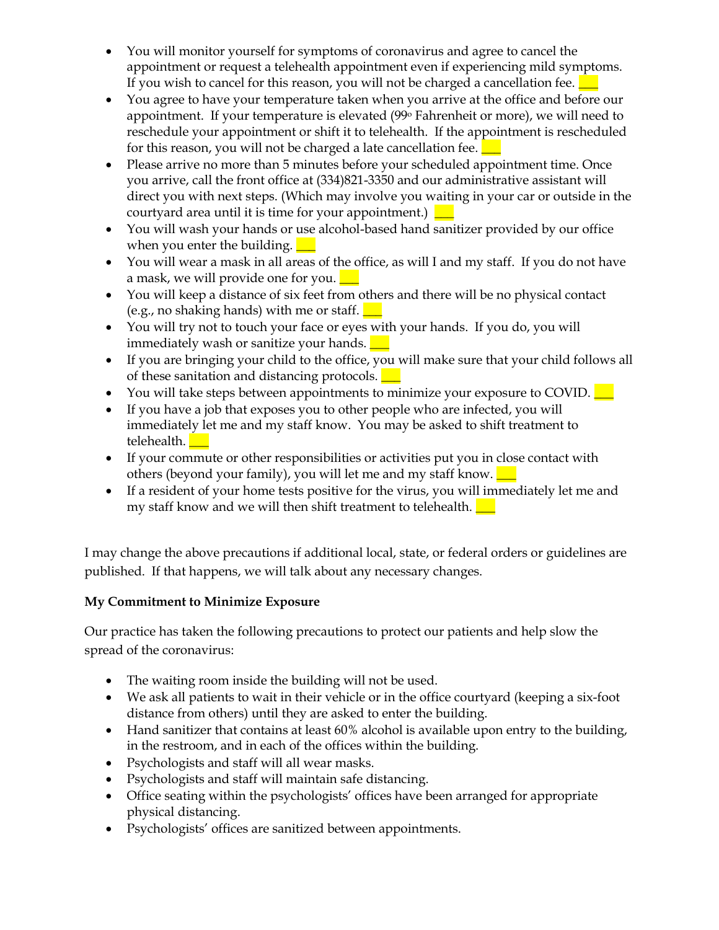- You will monitor yourself for symptoms of coronavirus and agree to cancel the appointment or request a telehealth appointment even if experiencing mild symptoms. If you wish to cancel for this reason, you will not be charged a cancellation fee.  $\Box$
- You agree to have your temperature taken when you arrive at the office and before our appointment. If your temperature is elevated (99<sup>o</sup> Fahrenheit or more), we will need to reschedule your appointment or shift it to telehealth. If the appointment is rescheduled for this reason, you will not be charged a late cancellation fee.  $\Box$
- Please arrive no more than 5 minutes before your scheduled appointment time. Once you arrive, call the front office at (334)821-3350 and our administrative assistant will direct you with next steps. (Which may involve you waiting in your car or outside in the courtyard area until it is time for your appointment.)  $\boxed{\phantom{a}}$
- You will wash your hands or use alcohol-based hand sanitizer provided by our office when you enter the building.  $\boxed{\phantom{1}}$
- You will wear a mask in all areas of the office, as will I and my staff. If you do not have a mask, we will provide one for you.  $\Box$
- You will keep a distance of six feet from others and there will be no physical contact (e.g., no shaking hands) with me or staff.  $\Box$
- You will try not to touch your face or eyes with your hands. If you do, you will immediately wash or sanitize your hands.
- If you are bringing your child to the office, you will make sure that your child follows all of these sanitation and distancing protocols.  $\Box$
- You will take steps between appointments to minimize your exposure to COVID.  $\Box$
- If you have a job that exposes you to other people who are infected, you will immediately let me and my staff know. You may be asked to shift treatment to telehealth.
- If your commute or other responsibilities or activities put you in close contact with others (beyond your family), you will let me and my staff know.  $\Box$
- If a resident of your home tests positive for the virus, you will immediately let me and my staff know and we will then shift treatment to telehealth.  $\Box$

I may change the above precautions if additional local, state, or federal orders or guidelines are published. If that happens, we will talk about any necessary changes.

# **My Commitment to Minimize Exposure**

Our practice has taken the following precautions to protect our patients and help slow the spread of the coronavirus:

- The waiting room inside the building will not be used.
- We ask all patients to wait in their vehicle or in the office courtyard (keeping a six-foot distance from others) until they are asked to enter the building.
- Hand sanitizer that contains at least 60% alcohol is available upon entry to the building, in the restroom, and in each of the offices within the building.
- Psychologists and staff will all wear masks.
- Psychologists and staff will maintain safe distancing.
- Office seating within the psychologists' offices have been arranged for appropriate physical distancing.
- Psychologists' offices are sanitized between appointments.